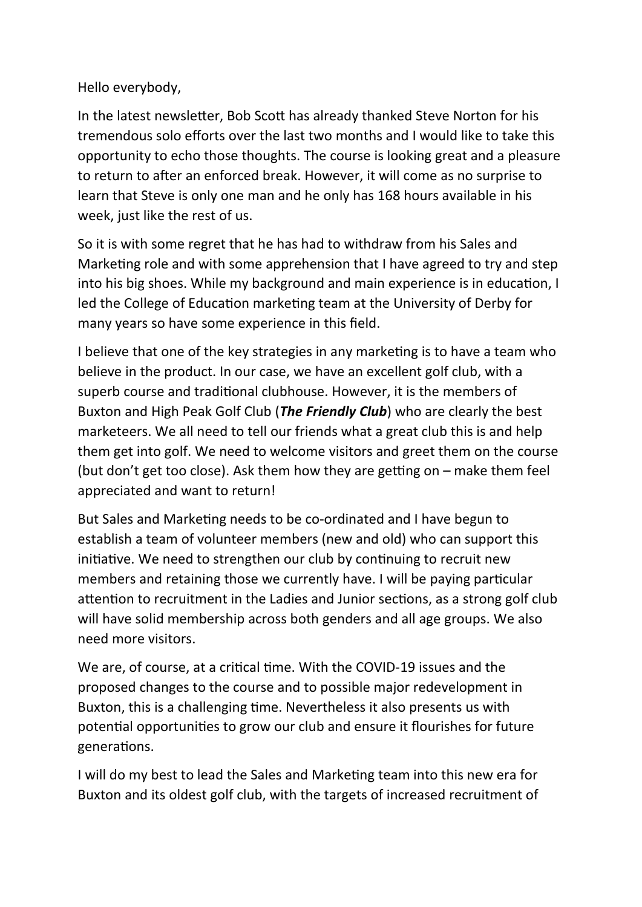Hello everybody,

In the latest newsletter, Bob Scott has already thanked Steve Norton for his tremendous solo efforts over the last two months and I would like to take this opportunity to echo those thoughts. The course is looking great and a pleasure to return to after an enforced break. However, it will come as no surprise to learn that Steve is only one man and he only has 168 hours available in his week, just like the rest of us.

So it is with some regret that he has had to withdraw from his Sales and Marketing role and with some apprehension that I have agreed to try and step into his big shoes. While my background and main experience is in education, I led the College of Education marketing team at the University of Derby for many years so have some experience in this field.

I believe that one of the key strategies in any marketing is to have a team who believe in the product. In our case, we have an excellent golf club, with a superb course and traditional clubhouse. However, it is the members of Buxton and High Peak Golf Club (*The Friendly Club*) who are clearly the best marketeers. We all need to tell our friends what a great club this is and help them get into golf. We need to welcome visitors and greet them on the course (but don't get too close). Ask them how they are getting on – make them feel appreciated and want to return!

But Sales and Marketing needs to be co-ordinated and I have begun to establish a team of volunteer members (new and old) who can support this initiative. We need to strengthen our club by continuing to recruit new members and retaining those we currently have. I will be paying particular attention to recruitment in the Ladies and Junior sections, as a strong golf club will have solid membership across both genders and all age groups. We also need more visitors.

We are, of course, at a critical time. With the COVID-19 issues and the proposed changes to the course and to possible major redevelopment in Buxton, this is a challenging time. Nevertheless it also presents us with potential opportunities to grow our club and ensure it flourishes for future generations.

I will do my best to lead the Sales and Marketing team into this new era for Buxton and its oldest golf club, with the targets of increased recruitment of